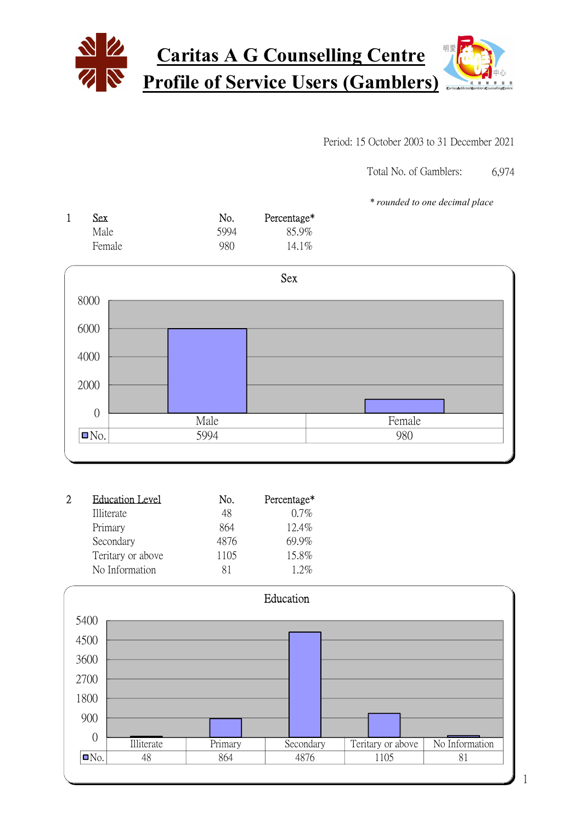

#### Period: 15 October 2003 to 31 December 2021

6,974 Total No. of Gamblers:

\* rounded to one decimal place

| Sex.   | No.  | Percentage* |
|--------|------|-------------|
| Male   | 5994 | 85.9%       |
| Female | 980  | $14.1\%$    |



| <b>Education Level</b> | No.  | Percentage* |
|------------------------|------|-------------|
| Illiterate             | 48   | $0.7\%$     |
| Primary                | 864  | $12.4\%$    |
| Secondary              | 4876 | 69.9%       |
| Teritary or above      | 1105 | 15.8%       |
| No Information         | 81   | 12%         |

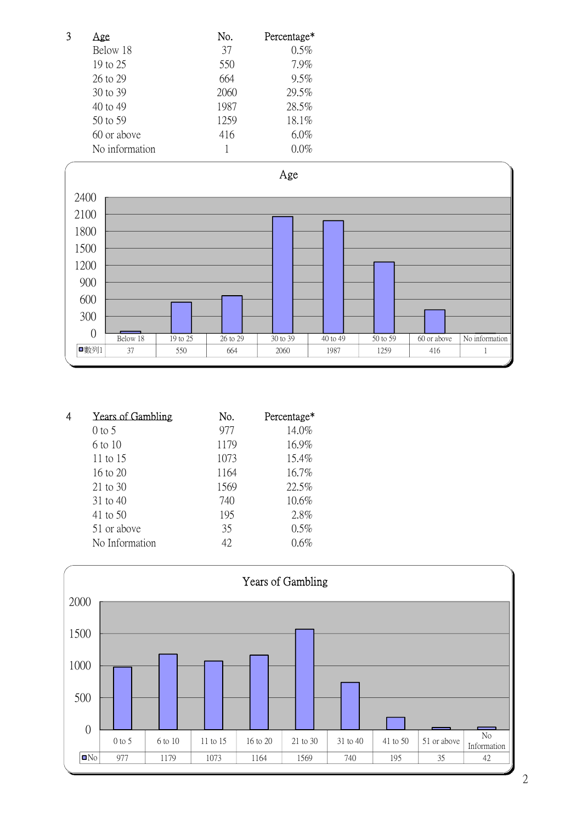| 3 | Age            | No.  | Percentage* |
|---|----------------|------|-------------|
|   | Below 18       | 37   | 0.5%        |
|   | 19 to 25       | 550  | 7.9%        |
|   | 26 to 29       | 664  | 9.5%        |
|   | 30 to 39       | 2060 | 29.5%       |
|   | 40 to 49       | 1987 | 28.5%       |
|   | 50 to 59       | 1259 | 18.1%       |
|   | 60 or above    | 416  | $6.0\%$     |
|   | No information |      | $0.0\%$     |



| 4 | <b>Years of Gambling</b> | No.  | Percentage* |
|---|--------------------------|------|-------------|
|   | $0$ to 5                 | 977  | 14.0%       |
|   | 6 to 10                  | 1179 | 16.9%       |
|   | 11 to $15$               | 1073 | 15.4%       |
|   | $16 \text{ to } 20$      | 1164 | 16.7%       |
|   | $21$ to 30               | 1569 | 22.5%       |
|   | 31 to 40                 | 740  | 10.6%       |
|   | 41 to 50                 | 195  | 2.8%        |
|   | 51 or above              | 35   | 0.5%        |
|   | No Information           | 42.  | $0.6\%$     |

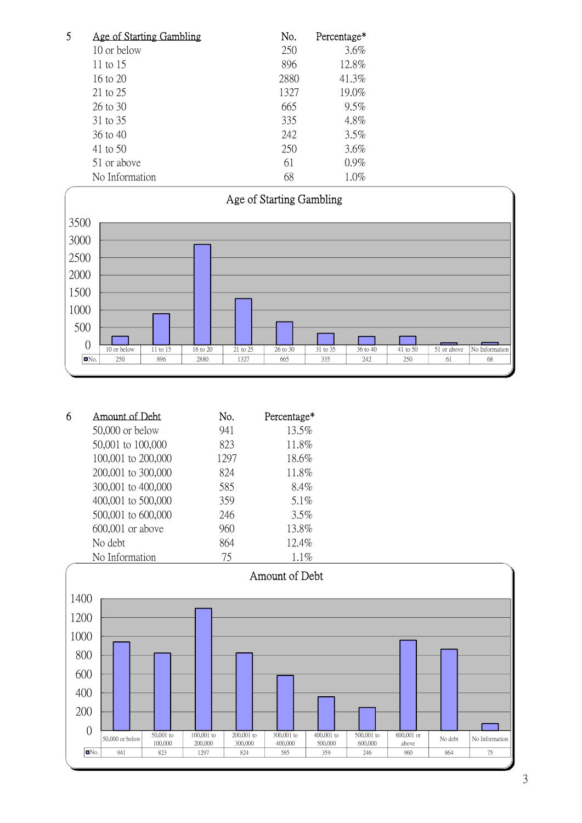| 5 | Age of Starting Gambling | No.  | Percentage* |
|---|--------------------------|------|-------------|
|   | 10 or below              | 250  | 3.6%        |
|   | 11 to $15$               | 896  | 12.8%       |
|   | 16 to 20                 | 2880 | 41.3%       |
|   | 21 to 25                 | 1327 | 19.0%       |
|   | 26 to 30                 | 665  | $9.5\%$     |
|   | 31 to 35                 | 335  | 4.8%        |
|   | 36 to 40                 | 242  | 3.5%        |
|   | 41 to 50                 | 250  | 3.6%        |
|   | 51 or above              | 61   | $0.9\%$     |
|   | No Information           | 68   | 1.0%        |



| 6 | Amount of Debt     | No.  | Percentage* |
|---|--------------------|------|-------------|
|   | $50,000$ or below  | 941  | 13.5%       |
|   | 50,001 to 100,000  | 823  | 11.8%       |
|   | 100,001 to 200,000 | 1297 | 18.6%       |
|   | 200,001 to 300,000 | 824  | 11.8%       |
|   | 300,001 to 400,000 | 585  | 8.4%        |
|   | 400,001 to 500,000 | 359  | $5.1\%$     |
|   | 500,001 to 600,000 | 246  | $3.5\%$     |
|   | 600,001 or above   | 960  | 13.8%       |
|   | No debt            | 864  | 12.4%       |
|   | No Information     | 75   | 1.1%        |

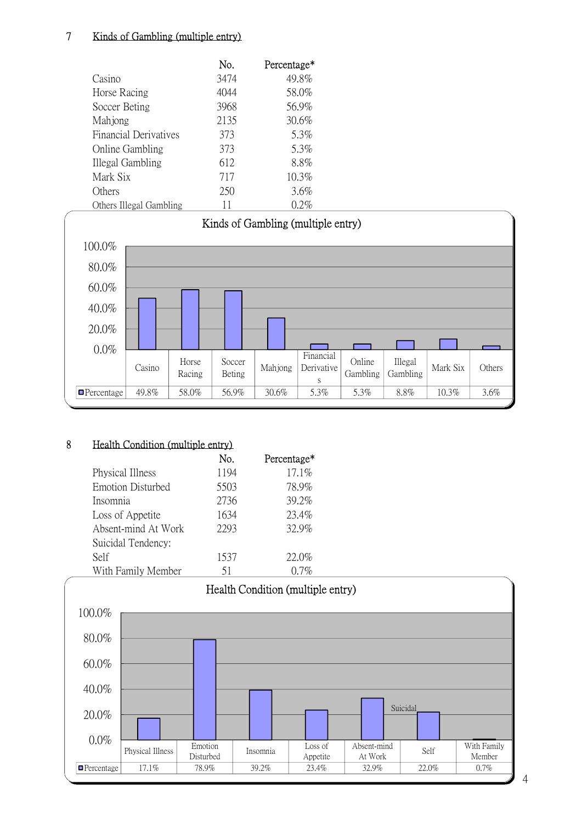## 7 Kinds of Gambling (multiple entry)

|                         | No.  | Percentage* |
|-------------------------|------|-------------|
| Casino                  | 3474 | 49.8%       |
| Horse Racing            | 4044 | 58.0%       |
| Soccer Beting           | 3968 | 56.9%       |
| Mahjong                 | 2135 | 30.6%       |
| Financial Derivatives   | 373  | 5.3%        |
| Online Gambling         | 373  | 5.3%        |
| Illegal Gambling        | 612  | 8.8%        |
| Mark Six                | 717  | 10.3%       |
| Others                  | 250  | 3.6%        |
| Others Illegal Gambling | 11   | 0.2%        |



#### 8 Health Condition (multiple entry)

|                          | No.  | Percentage* |
|--------------------------|------|-------------|
| Physical Illness         | 1194 | 17.1%       |
| <b>Emotion Disturbed</b> | 5503 | 78.9%       |
| Insomnia                 | 2736 | 39.2%       |
| Loss of Appetite         | 1634 | 23.4%       |
| Absent-mind At Work      | 2293 | 32.9%       |
| Suicidal Tendency:       |      |             |
| Self                     | 1537 | 22.0%       |
| With Family Member       | 51   | (17%        |

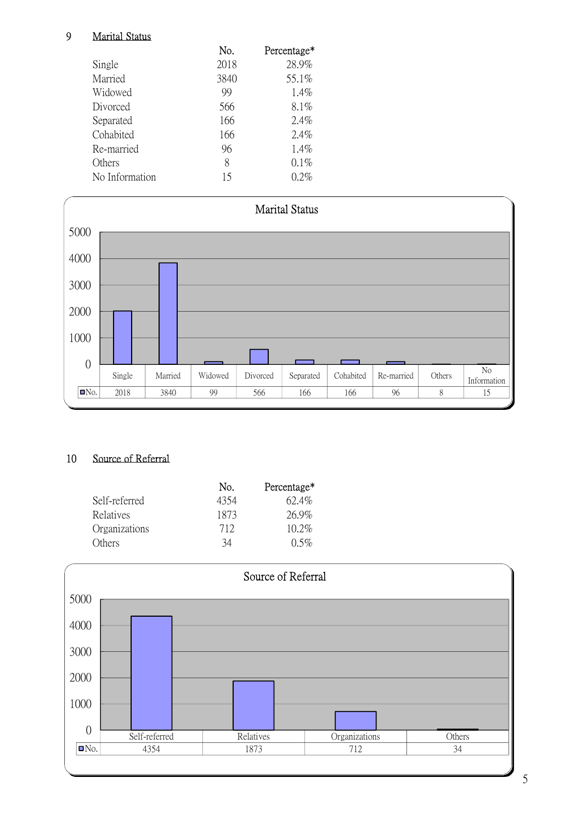## 9 Marital Status

|                | No.  | Percentage* |
|----------------|------|-------------|
| Single         | 2018 | 28.9%       |
| Married        | 3840 | 55.1%       |
| Widowed        | 99   | $1.4\%$     |
| Divorced       | 566  | 8.1%        |
| Separated      | 166  | $2.4\%$     |
| Cohabited      | 166  | $2.4\%$     |
| Re-married     | 96   | $1.4\%$     |
| Others         | 8    | $0.1\%$     |
| No Information | 15   | $0.2\%$     |



# 10 Source of Referral

|               | No.  | Percentage* |
|---------------|------|-------------|
| Self-referred | 4354 | $62.4\%$    |
| Relatives     | 1873 | $26.9\%$    |
| Organizations | 712  | $10.2\%$    |
| Others        | 34   | 0.5%        |

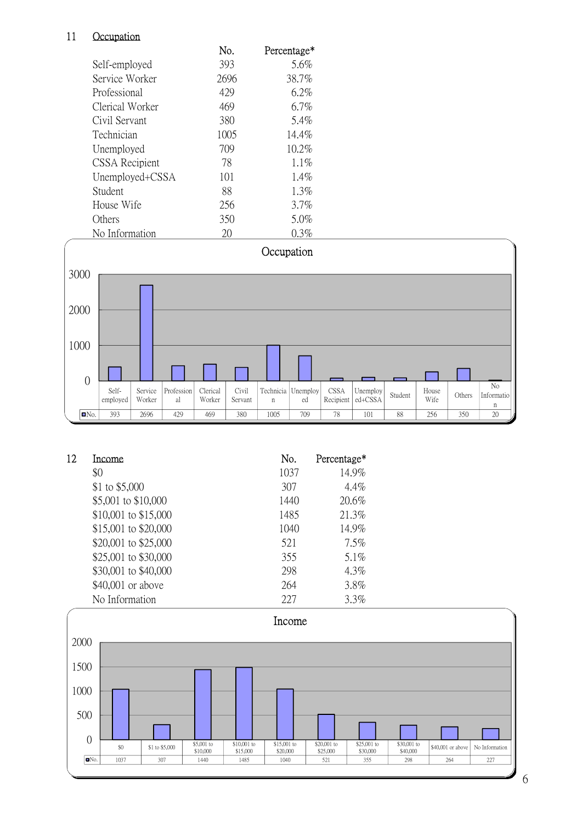## 11 Occupation

|                 | No.  | Percentage* |
|-----------------|------|-------------|
| Self-employed   | 393  | 5.6%        |
| Service Worker  | 2696 | 38.7%       |
| Professional    | 429  | $6.2\%$     |
| Clerical Worker | 469  | 6.7%        |
| Civil Servant   | 380  | 5.4%        |
| Technician      | 1005 | 14.4%       |
| Unemployed      | 709  | $10.2\%$    |
| CSSA Recipient  | 78   | $1.1\%$     |
| Unemployed+CSSA | 101  | $1.4\%$     |
| Student         | 88   | $1.3\%$     |
| House Wife      | 256  | $3.7\%$     |
| Others          | 350  | 5.0%        |
| No Information  | 20   | $0.3\%$     |



| 12 | <b>Income</b>        | No.  | Percentage* |
|----|----------------------|------|-------------|
|    | \$0                  | 1037 | 14.9%       |
|    | \$1 to $$5,000$      | 307  | $4.4\%$     |
|    | \$5,001 to \$10,000  | 1440 | 20.6%       |
|    | \$10,001 to \$15,000 | 1485 | 21.3%       |
|    | \$15,001 to \$20,000 | 1040 | 14.9%       |
|    | \$20,001 to \$25,000 | 521  | $7.5\%$     |
|    | \$25,001 to \$30,000 | 355  | 5.1%        |
|    | \$30,001 to \$40,000 | 298  | 4.3%        |
|    | \$40,001 or above    | 264  | 3.8%        |
|    | No Information       | 227  | $3.3\%$     |